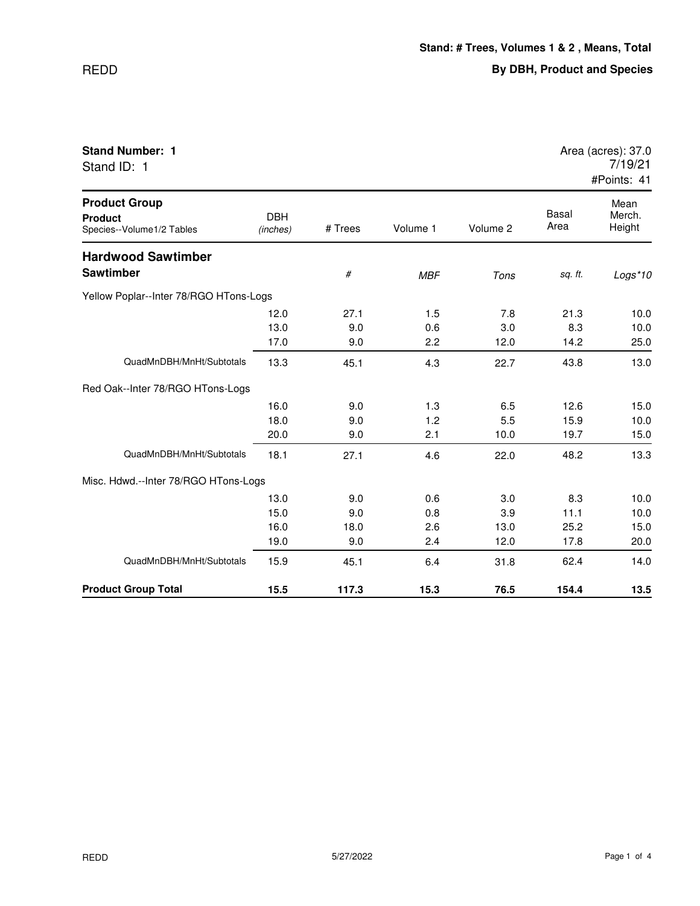| Stand ID: 1                                                         |                        |         |            |          |               | 7/19/21<br>#Points: 41   |
|---------------------------------------------------------------------|------------------------|---------|------------|----------|---------------|--------------------------|
| <b>Product Group</b><br><b>Product</b><br>Species--Volume1/2 Tables | <b>DBH</b><br>(inches) | # Trees | Volume 1   | Volume 2 | Basal<br>Area | Mean<br>Merch.<br>Height |
| <b>Hardwood Sawtimber</b>                                           |                        |         |            |          |               |                          |
| <b>Sawtimber</b>                                                    |                        | #       | <b>MBF</b> | Tons     | sq. ft.       | Logs*10                  |
| Yellow Poplar--Inter 78/RGO HTons-Logs                              |                        |         |            |          |               |                          |
|                                                                     | 12.0                   | 27.1    | 1.5        | 7.8      | 21.3          | 10.0                     |
|                                                                     | 13.0                   | 9.0     | 0.6        | 3.0      | 8.3           | 10.0                     |
|                                                                     | 17.0                   | 9.0     | 2.2        | 12.0     | 14.2          | 25.0                     |
| QuadMnDBH/MnHt/Subtotals                                            | 13.3                   | 45.1    | 4.3        | 22.7     | 43.8          | 13.0                     |
| Red Oak--Inter 78/RGO HTons-Logs                                    |                        |         |            |          |               |                          |
|                                                                     | 16.0                   | 9.0     | 1.3        | 6.5      | 12.6          | 15.0                     |
|                                                                     | 18.0                   | 9.0     | 1.2        | 5.5      | 15.9          | 10.0                     |
|                                                                     | 20.0                   | 9.0     | 2.1        | 10.0     | 19.7          | 15.0                     |
| QuadMnDBH/MnHt/Subtotals                                            | 18.1                   | 27.1    | 4.6        | 22.0     | 48.2          | 13.3                     |
| Misc. Hdwd.--Inter 78/RGO HTons-Logs                                |                        |         |            |          |               |                          |

QuadMnDBH/MnHt/Subtotals 15.9 45.1 6.4 31.8 62.4 14.0

**Product Group Total 15.5 117.3 15.3 76.5 154.4 13.5**

13.0 9.0 0.6 3.0 8.3 10.0 15.0 9.0 0.8 3.9 11.1 10.0 16.0 18.0 2.6 13.0 25.2 15.0 19.0 9.0 2.4 12.0 17.8 20.0

## **Stand Number: 1** Area (acres): 37.0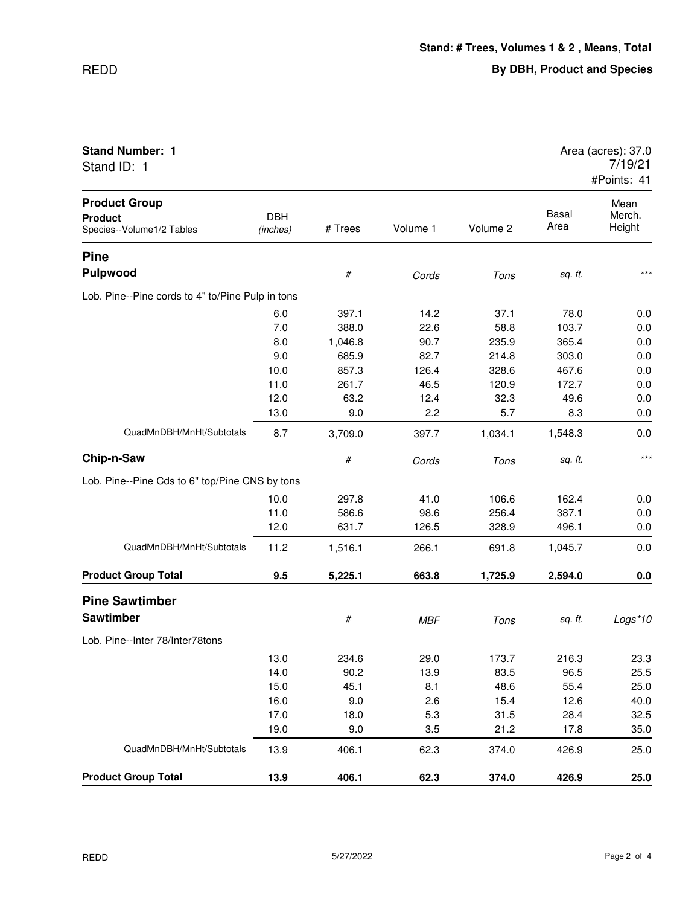## REDD

| <b>Stand Number: 1</b> | Area (acres): 37.0 |
|------------------------|--------------------|
|------------------------|--------------------|

Stand ID: 1

| Area (acres): 37.0      |
|-------------------------|
| 7/19/21                 |
| $H$ Dointo: $\lambda$ 1 |

|                                                                     |                        |         |            |          |               | #Points: 41              |
|---------------------------------------------------------------------|------------------------|---------|------------|----------|---------------|--------------------------|
| <b>Product Group</b><br><b>Product</b><br>Species--Volume1/2 Tables | <b>DBH</b><br>(inches) | # Trees | Volume 1   | Volume 2 | Basal<br>Area | Mean<br>Merch.<br>Height |
| <b>Pine</b>                                                         |                        |         |            |          |               |                          |
| <b>Pulpwood</b>                                                     |                        | #       | Cords      | Tons     | sq. ft.       | $***$                    |
| Lob. Pine--Pine cords to 4" to/Pine Pulp in tons                    |                        |         |            |          |               |                          |
|                                                                     | 6.0                    | 397.1   | 14.2       | 37.1     | 78.0          | 0.0                      |
|                                                                     | 7.0                    | 388.0   | 22.6       | 58.8     | 103.7         | 0.0                      |
|                                                                     | 8.0                    | 1,046.8 | 90.7       | 235.9    | 365.4         | 0.0                      |
|                                                                     | 9.0                    | 685.9   | 82.7       | 214.8    | 303.0         | 0.0                      |
|                                                                     | 10.0                   | 857.3   | 126.4      | 328.6    | 467.6         | 0.0                      |
|                                                                     | 11.0                   | 261.7   | 46.5       | 120.9    | 172.7         | 0.0                      |
|                                                                     | 12.0                   | 63.2    | 12.4       | 32.3     | 49.6          | 0.0                      |
|                                                                     | 13.0                   | 9.0     | 2.2        | 5.7      | 8.3           | 0.0                      |
| QuadMnDBH/MnHt/Subtotals                                            | 8.7                    | 3,709.0 | 397.7      | 1,034.1  | 1,548.3       | 0.0                      |
| Chip-n-Saw                                                          |                        | $\#$    | Cords      | Tons     | sq. ft.       | $***$                    |
| Lob. Pine--Pine Cds to 6" top/Pine CNS by tons                      |                        |         |            |          |               |                          |
|                                                                     | 10.0                   | 297.8   | 41.0       | 106.6    | 162.4         | 0.0                      |
|                                                                     | 11.0                   | 586.6   | 98.6       | 256.4    | 387.1         | 0.0                      |
|                                                                     | 12.0                   | 631.7   | 126.5      | 328.9    | 496.1         | 0.0                      |
| QuadMnDBH/MnHt/Subtotals                                            | 11.2                   | 1,516.1 | 266.1      | 691.8    | 1,045.7       | 0.0                      |
| <b>Product Group Total</b>                                          | 9.5                    | 5,225.1 | 663.8      | 1,725.9  | 2,594.0       | 0.0                      |
| <b>Pine Sawtimber</b>                                               |                        |         |            |          |               |                          |
| <b>Sawtimber</b>                                                    |                        | $\#$    | <b>MBF</b> | Tons     | sq. ft.       | Logs*10                  |
| Lob. Pine--Inter 78/Inter78tons                                     |                        |         |            |          |               |                          |
|                                                                     | 13.0                   | 234.6   | 29.0       | 173.7    | 216.3         | 23.3                     |
|                                                                     | 14.0                   | 90.2    | 13.9       | 83.5     | 96.5          | 25.5                     |
|                                                                     | 15.0                   | 45.1    | 8.1        | 48.6     | 55.4          | 25.0                     |
|                                                                     | 16.0                   | 9.0     | 2.6        | 15.4     | 12.6          | 40.0                     |
|                                                                     | 17.0                   | 18.0    | 5.3        | 31.5     | 28.4          | 32.5                     |
|                                                                     | 19.0                   | 9.0     | 3.5        | 21.2     | 17.8          | 35.0                     |
| QuadMnDBH/MnHt/Subtotals                                            | 13.9                   | 406.1   | 62.3       | 374.0    | 426.9         | 25.0                     |
| <b>Product Group Total</b>                                          | 13.9                   | 406.1   | 62.3       | 374.0    | 426.9         | 25.0                     |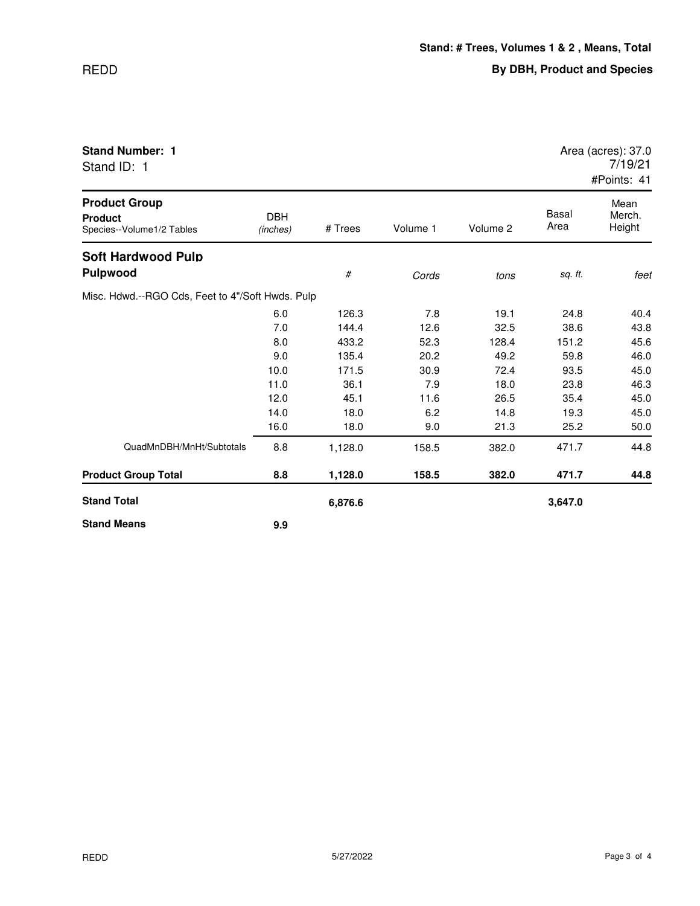| Stand ID: 1                                                         |                        |         |          |          |                      | 7/19/21<br>#Points: 41   |
|---------------------------------------------------------------------|------------------------|---------|----------|----------|----------------------|--------------------------|
| <b>Product Group</b><br><b>Product</b><br>Species--Volume1/2 Tables | <b>DBH</b><br>(inches) | # Trees | Volume 1 | Volume 2 | <b>Basal</b><br>Area | Mean<br>Merch.<br>Height |
| <b>Soft Hardwood Pulp</b><br><b>Pulpwood</b>                        |                        | #       | Cords    | tons     | sq. ft.              | feet                     |
| Misc. Hdwd.--RGO Cds, Feet to 4"/Soft Hwds. Pulp                    |                        |         |          |          |                      |                          |
|                                                                     | 6.0                    | 126.3   | 7.8      | 19.1     | 24.8                 | 40.4                     |
|                                                                     | 7.0                    | 144.4   | 12.6     | 32.5     | 38.6                 | 43.8                     |
|                                                                     | 8.0                    | 433.2   | 52.3     | 128.4    | 151.2                | 45.6                     |
|                                                                     | 9.0                    | 135.4   | 20.2     | 49.2     | 59.8                 | 46.0                     |
|                                                                     | 10.0                   | 171.5   | 30.9     | 72.4     | 93.5                 | 45.0                     |
|                                                                     | 11.0                   | 36.1    | 7.9      | 18.0     | 23.8                 | 46.3                     |
|                                                                     | 12.0                   | 45.1    | 11.6     | 26.5     | 35.4                 | 45.0                     |
|                                                                     | 14.0                   | 18.0    | 6.2      | 14.8     | 19.3                 | 45.0                     |
|                                                                     | 16.0                   | 18.0    | 9.0      | 21.3     | 25.2                 | 50.0                     |
| QuadMnDBH/MnHt/Subtotals                                            | 8.8                    | 1,128.0 | 158.5    | 382.0    | 471.7                | 44.8                     |
| <b>Product Group Total</b>                                          | 8.8                    | 1,128.0 | 158.5    | 382.0    | 471.7                | 44.8                     |
| <b>Stand Total</b>                                                  |                        | 6,876.6 |          |          | 3,647.0              |                          |
| <b>Stand Means</b>                                                  | 9.9                    |         |          |          |                      |                          |

**Stand Number: 1** Area (acres): 37.0